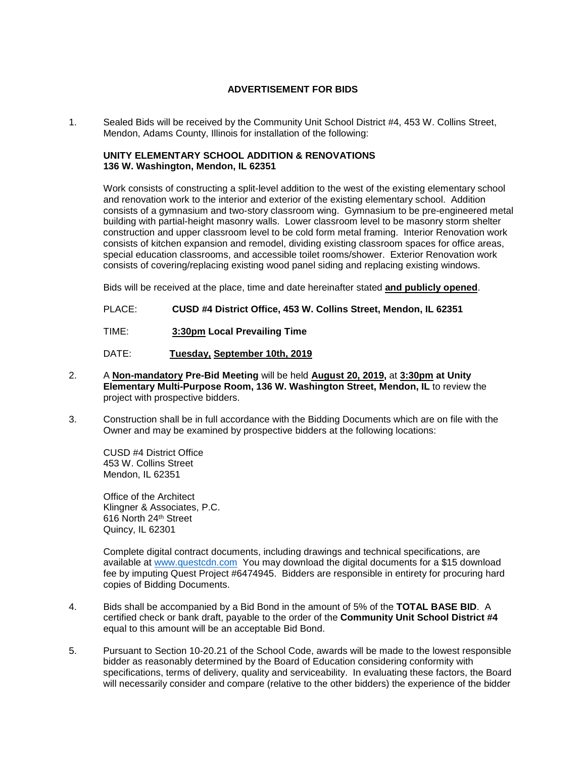## **ADVERTISEMENT FOR BIDS**

1. Sealed Bids will be received by the Community Unit School District #4, 453 W. Collins Street, Mendon, Adams County, Illinois for installation of the following:

## **UNITY ELEMENTARY SCHOOL ADDITION & RENOVATIONS 136 W. Washington, Mendon, IL 62351**

Work consists of constructing a split-level addition to the west of the existing elementary school and renovation work to the interior and exterior of the existing elementary school. Addition consists of a gymnasium and two-story classroom wing. Gymnasium to be pre-engineered metal building with partial-height masonry walls. Lower classroom level to be masonry storm shelter construction and upper classroom level to be cold form metal framing. Interior Renovation work consists of kitchen expansion and remodel, dividing existing classroom spaces for office areas, special education classrooms, and accessible toilet rooms/shower. Exterior Renovation work consists of covering/replacing existing wood panel siding and replacing existing windows.

Bids will be received at the place, time and date hereinafter stated **and publicly opened**.

PLACE: **CUSD #4 District Office, 453 W. Collins Street, Mendon, IL 62351**

TIME: **3:30pm Local Prevailing Time**

DATE: **Tuesday, September 10th, 2019**

- 2. A **Non-mandatory Pre-Bid Meeting** will be held **August 20, 2019,** at **3:30pm at Unity Elementary Multi-Purpose Room, 136 W. Washington Street, Mendon, IL** to review the project with prospective bidders.
- 3. Construction shall be in full accordance with the Bidding Documents which are on file with the Owner and may be examined by prospective bidders at the following locations:

CUSD #4 District Office 453 W. Collins Street Mendon, IL 62351

Office of the Architect Klingner & Associates, P.C. 616 North 24th Street Quincy, IL 62301

Complete digital contract documents, including drawings and technical specifications, are available at [www.questcdn.com](http://www.questcdn.com/) You may download the digital documents for a \$15 download fee by imputing Quest Project #6474945. Bidders are responsible in entirety for procuring hard copies of Bidding Documents.

- 4. Bids shall be accompanied by a Bid Bond in the amount of 5% of the **TOTAL BASE BID**. A certified check or bank draft, payable to the order of the **Community Unit School District #4** equal to this amount will be an acceptable Bid Bond.
- 5. Pursuant to Section 10-20.21 of the School Code, awards will be made to the lowest responsible bidder as reasonably determined by the Board of Education considering conformity with specifications, terms of delivery, quality and serviceability. In evaluating these factors, the Board will necessarily consider and compare (relative to the other bidders) the experience of the bidder